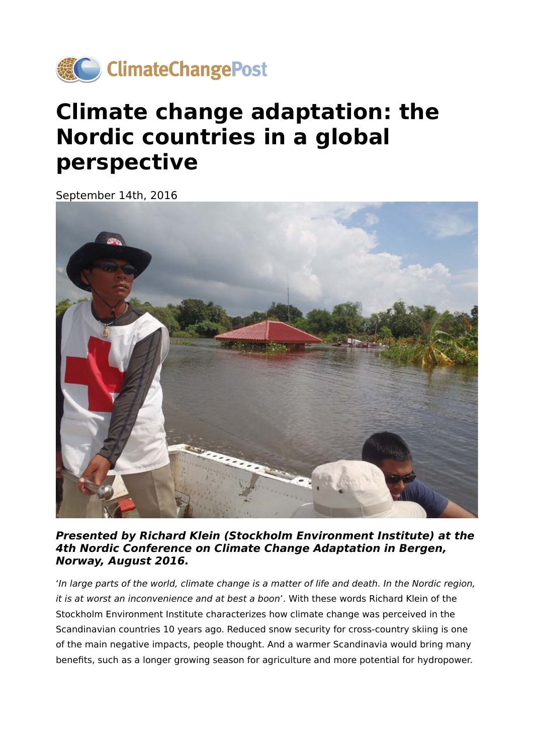

# **Climate change adaptation: the Nordic countries in a global perspective**

September 14th, 2016



**Presented by Richard Klein (Stockholm Environment Institute) at the 4th Nordic Conference on Climate Change Adaptation in Bergen, Norway, August 2016.**

'In large parts of the world, climate change is a matter of life and death. In the Nordic region, it is at worst an inconvenience and at best a boon'. With these words Richard Klein of the Stockholm Environment Institute characterizes how climate change was perceived in the Scandinavian countries 10 years ago. Reduced snow security for cross-country skiing is one of the main negative impacts, people thought. And a warmer Scandinavia would bring many benefits, such as a longer growing season for agriculture and more potential for hydropower.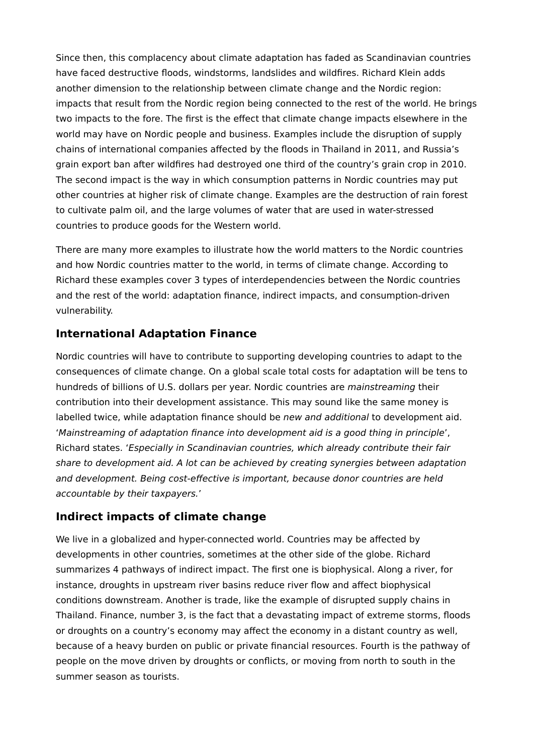Since then, this complacency about climate adaptation has faded as Scandinavian countries have faced destructive floods, windstorms, landslides and wildfires. Richard Klein adds another dimension to the relationship between climate change and the Nordic region: impacts that result from the Nordic region being connected to the rest of the world. He brings two impacts to the fore. The first is the effect that climate change impacts elsewhere in the world may have on Nordic people and business. Examples include the disruption of supply chains of international companies affected by the floods in Thailand in 2011, and Russia's grain export ban after wildfires had destroyed one third of the country's grain crop in 2010. The second impact is the way in which consumption patterns in Nordic countries may put other countries at higher risk of climate change. Examples are the destruction of rain forest to cultivate palm oil, and the large volumes of water that are used in water-stressed countries to produce goods for the Western world.

There are many more examples to illustrate how the world matters to the Nordic countries and how Nordic countries matter to the world, in terms of climate change. According to Richard these examples cover 3 types of interdependencies between the Nordic countries and the rest of the world: adaptation finance, indirect impacts, and consumption-driven vulnerability.

#### **International Adaptation Finance**

Nordic countries will have to contribute to supporting developing countries to adapt to the consequences of climate change. On a global scale total costs for adaptation will be tens to hundreds of billions of U.S. dollars per year. Nordic countries are mainstreaming their contribution into their development assistance. This may sound like the same money is labelled twice, while adaptation finance should be new and additional to development aid. 'Mainstreaming of adaptation finance into development aid is a good thing in principle', Richard states. 'Especially in Scandinavian countries, which already contribute their fair share to development aid. A lot can be achieved by creating synergies between adaptation and development. Being cost-effective is important, because donor countries are held accountable by their taxpayers.'

### **Indirect impacts of climate change**

We live in a globalized and hyper-connected world. Countries may be affected by developments in other countries, sometimes at the other side of the globe. Richard summarizes 4 pathways of indirect impact. The first one is biophysical. Along a river, for instance, droughts in upstream river basins reduce river flow and affect biophysical conditions downstream. Another is trade, like the example of disrupted supply chains in Thailand. Finance, number 3, is the fact that a devastating impact of extreme storms, floods or droughts on a country's economy may affect the economy in a distant country as well, because of a heavy burden on public or private financial resources. Fourth is the pathway of people on the move driven by droughts or conflicts, or moving from north to south in the summer season as tourists.